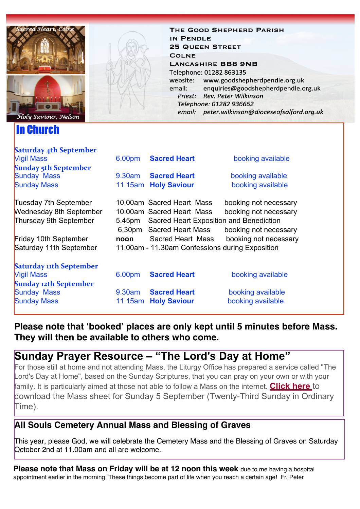

In Church

**Saturday Att Construction** 

THE GOOD SHEPHERD PARISH IN PENDLE **25 QUEEN STREET COLNE LANCASHIRE BB8 9NB** Telephone: 01282 863135 website: www.goodshepherdpendle.org.uk email: enquiries@goodshepherdpendle.org.uk Priest: Rev. Peter Wilkinson Telephone: 01282 936662 email: peter.wilkinson@dioceseofsalford.org.uk

| paturday 4th september         |                                                 |                                                |                       |
|--------------------------------|-------------------------------------------------|------------------------------------------------|-----------------------|
| <b>Vigil Mass</b>              | 6.00pm                                          | <b>Sacred Heart</b>                            | booking available     |
| <b>Sunday 5th September</b>    |                                                 |                                                |                       |
| <b>Sunday Mass</b>             |                                                 | 9.30am Sacred Heart                            | booking available     |
| <b>Sunday Mass</b>             | 11.15am                                         | <b>Holy Saviour</b>                            | booking available     |
| Tuesday 7th September          |                                                 | 10.00am Sacred Heart Mass                      | booking not necessary |
| <b>Wednesday 8th September</b> |                                                 | 10.00am Sacred Heart Mass                      | booking not necessary |
|                                |                                                 |                                                |                       |
| Thursday 9th September         |                                                 | 5.45pm Sacred Heart Exposition and Benediction |                       |
|                                |                                                 | 6.30pm Sacred Heart Mass                       | booking not necessary |
| Friday 10th September          | noon                                            | Sacred Heart Mass                              | booking not necessary |
| Saturday 11th September        | 11.00am - 11.30am Confessions during Exposition |                                                |                       |
|                                |                                                 |                                                |                       |
| <b>Saturday 11th September</b> |                                                 |                                                |                       |
| <b>Vigil Mass</b>              | 6.00pm                                          | <b>Sacred Heart</b>                            | booking available     |
| <b>Sunday 12th September</b>   |                                                 |                                                |                       |
| <b>Sunday Mass</b>             |                                                 | 9.30am Sacred Heart                            | booking available     |
| <b>Sunday Mass</b>             | 11.15am                                         | <b>Holy Saviour</b>                            | booking available     |
|                                |                                                 |                                                |                       |
|                                |                                                 |                                                |                       |

**Please note that 'booked' places are only kept until 5 minutes before Mass. They will then be available to others who come.**

# **Sunday Prayer Resource – "The Lord's Day at Home"**

For those still at home and not attending Mass, the Liturgy Office has prepared a service called "The Lord's Day at Home", based on the Sunday Scriptures, that you can pray on your own or with your family. It is particularly aimed at those not able to follow a Mass on the internet. **[Click here](https://gbr01.safelinks.protection.outlook.com/?url=https%3A%2F%2Fdioceseofsalford.us6.list-manage.com%2Ftrack%2Fclick%3Fu%3D76e219dab8653b775ba8aac4c%26id%3D809d95d5c4%26e%3D5ce69633f0&data=04%7C01%7Cpeter.wilkinson%40dioceseofsalford.org.uk%7C6050da7279eb4e3f80b208d96d246e9f%7C699a61ae142a45a090c604b2f08de19b%7C0%7C0%7C637660825503199632%7CUnknown%7CTWFpbGZsb3d8eyJWIjoiMC4wLjAwMDAiLCJQIjoiV2luMzIiLCJBTiI6Ik1haWwiLCJXVCI6Mn0%3D%7C1000&sdata=yq5YNHSA47%2BbOtuzGOzw9ynYGFv341CxrGCTTcizgTo%3D&reserved=0)** [t](https://gbr01.safelinks.protection.outlook.com/?url=https%3A%2F%2Fdioceseofsalford.us6.list-manage.com%2Ftrack%2Fclick%3Fu%3D76e219dab8653b775ba8aac4c%26id%3Dfcc920e848%26e%3D5ce69633f0&data=04%7C01%7Cpeter.wilkinson%40dioceseofsalford.org.uk%7C6050da7279eb4e3f80b208d96d246e9f%7C699a61ae142a45a090c604b2f08de19b%7C0%7C0%7C637660825503199632%7CUnknown%7CTWFpbGZsb3d8eyJWIjoiMC4wLjAwMDAiLCJQIjoiV2luMzIiLCJBTiI6Ik1haWwiLCJXVCI6Mn0%3D%7C1000&sdata=o%2BwIzXmeq5L2bny00gP9sKCwsAHRGAxaT9eQr0YFGt0%3D&reserved=0)o download the Mass sheet for Sunday 5 September (Twenty-Third Sunday in Ordinary Time).

### **All Souls Cemetery Annual Mass and Blessing of Graves**

This year, please God, we will celebrate the Cemetery Mass and the Blessing of Graves on Saturday October 2nd at 11.00am and all are welcome.

**Please note that Mass on Friday will be at 12 noon this week** due to me having a hospital appointment earlier in the morning. These things become part of life when you reach a certain age! Fr. Peter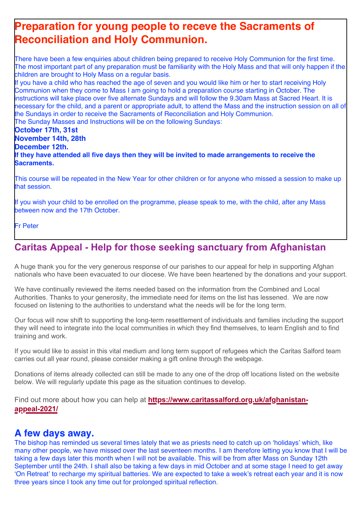# **Preparation for young people to receve the Sacraments of Reconciliation and Holy Communion.**

There have been a few enquiries about children being prepared to receive Holy Communion for the first time. The most important part of any preparation must be familiarity with the Holy Mass and that will only happen if the children are brought to Holy Mass on a regular basis.

If you have a child who has reached the age of seven and you would like him or her to start receiving Holy Communion when they come to Mass I am going to hold a preparation course starting in October. The instructions will take place over five alternate Sundays and will follow the 9.30am Mass at Sacred Heart. It is necessary for the child, and a parent or appropriate adult, to attend the Mass and the instruction session on all of the Sundays in order to receive the Sacraments of Reconciliation and Holy Communion. The Sunday Masses and Instructions will be on the following Sundays:

**October 17th, 31st November 14th, 28th December 12th. If they have attended all five days then they will be invited to made arrangements to receive the Sacraments.** 

This course will be repeated in the New Year for other children or for anyone who missed a session to make up that session.

If you wish your child to be enrolled on the programme, please speak to me, with the child, after any Mass between now and the 17th October.

Fr Peter

# **Caritas Appeal - Help for those seeking sanctuary from Afghanistan**

A huge thank you for the very generous response of our parishes to our appeal for help in supporting Afghan nationals who have been evacuated to our diocese. We have been heartened by the donations and your support.

We have continually reviewed the items needed based on the information from the Combined and Local Authorities. Thanks to your generosity, the immediate need for items on the list has lessened. We are now focused on listening to the authorities to understand what the needs will be for the long term.

Our focus will now shift to supporting the long-term resettlement of individuals and families including the support they will need to integrate into the local communities in which they find themselves, to learn English and to find training and work.

If you would like to assist in this vital medium and long term support of refugees which the Caritas Salford team carries out all year round, please consider making a gift online through the webpage.

Donations of items already collected can still be made to any one of the drop off locations listed on the website below. We will regularly update this page as the situation continues to develop.

Find out more about how you can help at **[https://www.caritassalford.org.uk/afghanistan](https://gbr01.safelinks.protection.outlook.com/?url=https%3A%2F%2Fdioceseofsalford.us6.list-manage.com%2Ftrack%2Fclick%3Fu%3D76e219dab8653b775ba8aac4c%26id%3D706ec7f6ca%26e%3D5ce69633f0&data=04%7C01%7Cpeter.wilkinson%40dioceseofsalford.org.uk%7C6050da7279eb4e3f80b208d96d246e9f%7C699a61ae142a45a090c604b2f08de19b%7C0%7C0%7C637660825503209584%7CUnknown%7CTWFpbGZsb3d8eyJWIjoiMC4wLjAwMDAiLCJQIjoiV2luMzIiLCJBTiI6Ik1haWwiLCJXVCI6Mn0%3D%7C1000&sdata=1HRulxQ84R72c0gmX8ZWP3l5vfQdtCSD5uo9Wj5fsOM%3D&reserved=0)[appeal-2021/](https://gbr01.safelinks.protection.outlook.com/?url=https%3A%2F%2Fdioceseofsalford.us6.list-manage.com%2Ftrack%2Fclick%3Fu%3D76e219dab8653b775ba8aac4c%26id%3D706ec7f6ca%26e%3D5ce69633f0&data=04%7C01%7Cpeter.wilkinson%40dioceseofsalford.org.uk%7C6050da7279eb4e3f80b208d96d246e9f%7C699a61ae142a45a090c604b2f08de19b%7C0%7C0%7C637660825503209584%7CUnknown%7CTWFpbGZsb3d8eyJWIjoiMC4wLjAwMDAiLCJQIjoiV2luMzIiLCJBTiI6Ik1haWwiLCJXVCI6Mn0%3D%7C1000&sdata=1HRulxQ84R72c0gmX8ZWP3l5vfQdtCSD5uo9Wj5fsOM%3D&reserved=0)**

### **A few days away.**

The bishop has reminded us several times lately that we as priests need to catch up on 'holidays' which, like many other people, we have missed over the last seventeen months. I am therefore letting you know that I will be taking a few days later this month when I will not be available. This will be from after Mass on Sunday 12th September until the 24th. I shall also be taking a few days in mid October and at some stage I need to get away 'On Retreat' to recharge my spiritual batteries. We are expected to take a week's retreat each year and it is now three years since I took any time out for prolonged spiritual reflection.